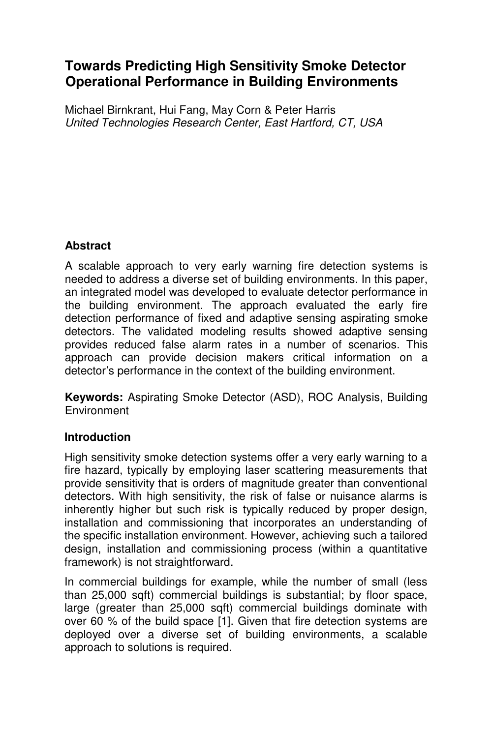# **Towards Predicting High Sensitivity Smoke Detector Operational Performance in Building Environments**

Michael Birnkrant, Hui Fang, May Corn & Peter Harris *United Technologies Research Center, East Hartford, CT, USA* 

## **Abstract**

A scalable approach to very early warning fire detection systems is needed to address a diverse set of building environments. In this paper, an integrated model was developed to evaluate detector performance in the building environment. The approach evaluated the early fire detection performance of fixed and adaptive sensing aspirating smoke detectors. The validated modeling results showed adaptive sensing provides reduced false alarm rates in a number of scenarios. This approach can provide decision makers critical information on a detector's performance in the context of the building environment.

**Keywords:** Aspirating Smoke Detector (ASD), ROC Analysis, Building **Environment** 

### **Introduction**

High sensitivity smoke detection systems offer a very early warning to a fire hazard, typically by employing laser scattering measurements that provide sensitivity that is orders of magnitude greater than conventional detectors. With high sensitivity, the risk of false or nuisance alarms is inherently higher but such risk is typically reduced by proper design, installation and commissioning that incorporates an understanding of the specific installation environment. However, achieving such a tailored design, installation and commissioning process (within a quantitative framework) is not straightforward.

In commercial buildings for example, while the number of small (less than 25,000 sqft) commercial buildings is substantial; by floor space, large (greater than 25,000 sqft) commercial buildings dominate with over 60 % of the build space [1]. Given that fire detection systems are deployed over a diverse set of building environments, a scalable approach to solutions is required.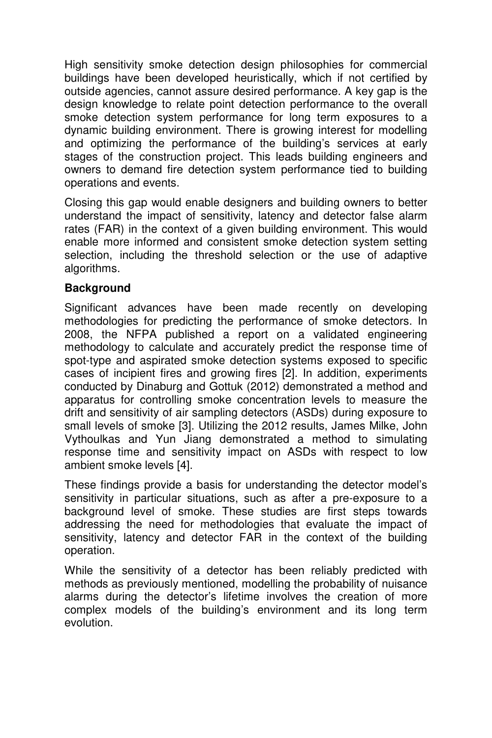High sensitivity smoke detection design philosophies for commercial buildings have been developed heuristically, which if not certified by outside agencies, cannot assure desired performance. A key gap is the design knowledge to relate point detection performance to the overall smoke detection system performance for long term exposures to a dynamic building environment. There is growing interest for modelling and optimizing the performance of the building's services at early stages of the construction project. This leads building engineers and owners to demand fire detection system performance tied to building operations and events.

Closing this gap would enable designers and building owners to better understand the impact of sensitivity, latency and detector false alarm rates (FAR) in the context of a given building environment. This would enable more informed and consistent smoke detection system setting selection, including the threshold selection or the use of adaptive algorithms.

### **Background**

Significant advances have been made recently on developing methodologies for predicting the performance of smoke detectors. In 2008, the NFPA published a report on a validated engineering methodology to calculate and accurately predict the response time of spot-type and aspirated smoke detection systems exposed to specific cases of incipient fires and growing fires [2]. In addition, experiments conducted by Dinaburg and Gottuk (2012) demonstrated a method and apparatus for controlling smoke concentration levels to measure the drift and sensitivity of air sampling detectors (ASDs) during exposure to small levels of smoke [3]. Utilizing the 2012 results, James Milke, John Vythoulkas and Yun Jiang demonstrated a method to simulating response time and sensitivity impact on ASDs with respect to low ambient smoke levels [4].

These findings provide a basis for understanding the detector model's sensitivity in particular situations, such as after a pre-exposure to a background level of smoke. These studies are first steps towards addressing the need for methodologies that evaluate the impact of sensitivity, latency and detector FAR in the context of the building operation.

While the sensitivity of a detector has been reliably predicted with methods as previously mentioned, modelling the probability of nuisance alarms during the detector's lifetime involves the creation of more complex models of the building's environment and its long term evolution.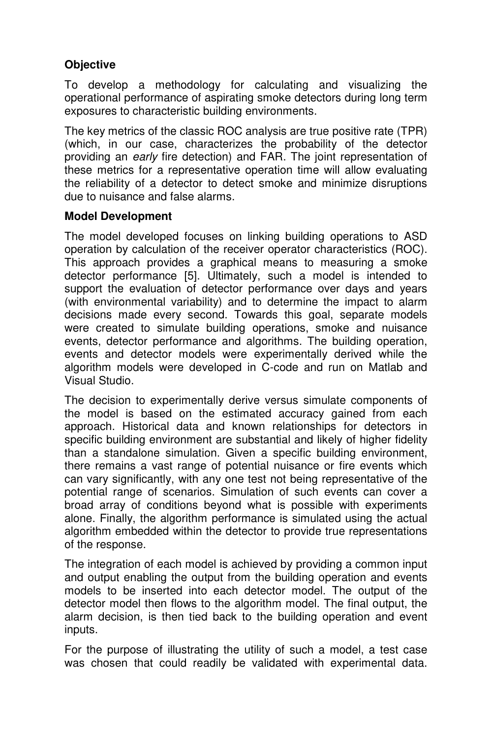## **Objective**

To develop a methodology for calculating and visualizing the operational performance of aspirating smoke detectors during long term exposures to characteristic building environments.

The key metrics of the classic ROC analysis are true positive rate (TPR) (which, in our case, characterizes the probability of the detector providing an *early* fire detection) and FAR. The joint representation of these metrics for a representative operation time will allow evaluating the reliability of a detector to detect smoke and minimize disruptions due to nuisance and false alarms.

## **Model Development**

The model developed focuses on linking building operations to ASD operation by calculation of the receiver operator characteristics (ROC). This approach provides a graphical means to measuring a smoke detector performance [5]. Ultimately, such a model is intended to support the evaluation of detector performance over days and years (with environmental variability) and to determine the impact to alarm decisions made every second. Towards this goal, separate models were created to simulate building operations, smoke and nuisance events, detector performance and algorithms. The building operation, events and detector models were experimentally derived while the algorithm models were developed in C-code and run on Matlab and Visual Studio.

The decision to experimentally derive versus simulate components of the model is based on the estimated accuracy gained from each approach. Historical data and known relationships for detectors in specific building environment are substantial and likely of higher fidelity than a standalone simulation. Given a specific building environment, there remains a vast range of potential nuisance or fire events which can vary significantly, with any one test not being representative of the potential range of scenarios. Simulation of such events can cover a broad array of conditions beyond what is possible with experiments alone. Finally, the algorithm performance is simulated using the actual algorithm embedded within the detector to provide true representations of the response.

The integration of each model is achieved by providing a common input and output enabling the output from the building operation and events models to be inserted into each detector model. The output of the detector model then flows to the algorithm model. The final output, the alarm decision, is then tied back to the building operation and event inputs.

For the purpose of illustrating the utility of such a model, a test case was chosen that could readily be validated with experimental data.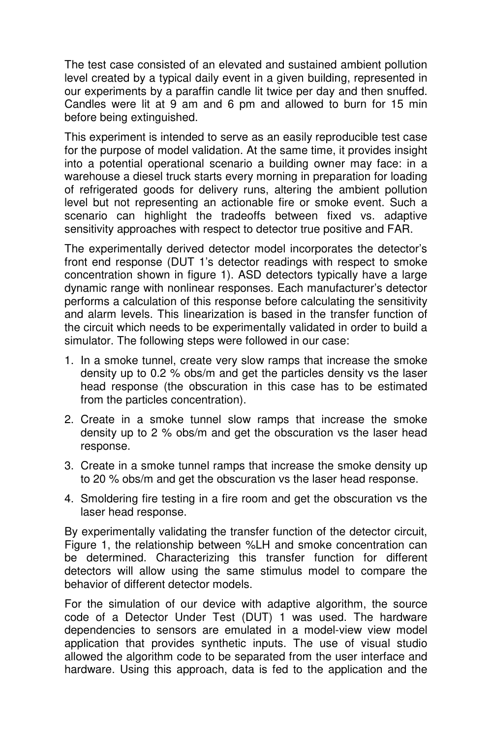The test case consisted of an elevated and sustained ambient pollution level created by a typical daily event in a given building, represented in our experiments by a paraffin candle lit twice per day and then snuffed. Candles were lit at 9 am and 6 pm and allowed to burn for 15 min before being extinguished.

This experiment is intended to serve as an easily reproducible test case for the purpose of model validation. At the same time, it provides insight into a potential operational scenario a building owner may face: in a warehouse a diesel truck starts every morning in preparation for loading of refrigerated goods for delivery runs, altering the ambient pollution level but not representing an actionable fire or smoke event. Such a scenario can highlight the tradeoffs between fixed vs. adaptive sensitivity approaches with respect to detector true positive and FAR.

The experimentally derived detector model incorporates the detector's front end response (DUT 1's detector readings with respect to smoke concentration shown in figure 1). ASD detectors typically have a large dynamic range with nonlinear responses. Each manufacturer's detector performs a calculation of this response before calculating the sensitivity and alarm levels. This linearization is based in the transfer function of the circuit which needs to be experimentally validated in order to build a simulator. The following steps were followed in our case:

- 1. In a smoke tunnel, create very slow ramps that increase the smoke density up to 0.2 % obs/m and get the particles density vs the laser head response (the obscuration in this case has to be estimated from the particles concentration).
- 2. Create in a smoke tunnel slow ramps that increase the smoke density up to 2 % obs/m and get the obscuration vs the laser head response.
- 3. Create in a smoke tunnel ramps that increase the smoke density up to 20 % obs/m and get the obscuration vs the laser head response.
- 4. Smoldering fire testing in a fire room and get the obscuration vs the laser head response.

By experimentally validating the transfer function of the detector circuit, Figure 1, the relationship between %LH and smoke concentration can be determined. Characterizing this transfer function for different detectors will allow using the same stimulus model to compare the behavior of different detector models.

For the simulation of our device with adaptive algorithm, the source code of a Detector Under Test (DUT) 1 was used. The hardware dependencies to sensors are emulated in a model-view view model application that provides synthetic inputs. The use of visual studio allowed the algorithm code to be separated from the user interface and hardware. Using this approach, data is fed to the application and the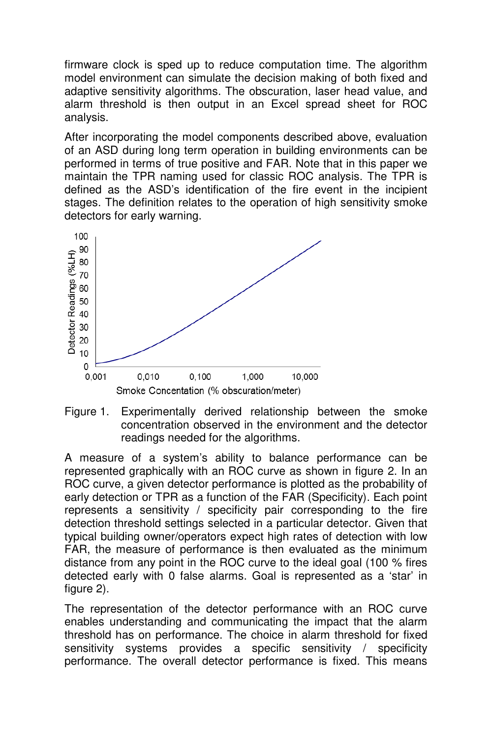firmware clock is sped up to reduce computation time. The algorithm model environment can simulate the decision making of both fixed and adaptive sensitivity algorithms. The obscuration, laser head value, and alarm threshold is then output in an Excel spread sheet for ROC analysis.

After incorporating the model components described above, evaluation of an ASD during long term operation in building environments can be performed in terms of true positive and FAR. Note that in this paper we maintain the TPR naming used for classic ROC analysis. The TPR is defined as the ASD's identification of the fire event in the incipient stages. The definition relates to the operation of high sensitivity smoke detectors for early warning.



Figure 1. Experimentally derived relationship between the smoke concentration observed in the environment and the detector readings needed for the algorithms.

A measure of a system's ability to balance performance can be represented graphically with an ROC curve as shown in figure 2. In an ROC curve, a given detector performance is plotted as the probability of early detection or TPR as a function of the FAR (Specificity). Each point represents a sensitivity / specificity pair corresponding to the fire detection threshold settings selected in a particular detector. Given that typical building owner/operators expect high rates of detection with low FAR, the measure of performance is then evaluated as the minimum distance from any point in the ROC curve to the ideal goal (100 % fires detected early with 0 false alarms. Goal is represented as a 'star' in figure 2).

The representation of the detector performance with an ROC curve enables understanding and communicating the impact that the alarm threshold has on performance. The choice in alarm threshold for fixed sensitivity systems provides a specific sensitivity / specificity performance. The overall detector performance is fixed. This means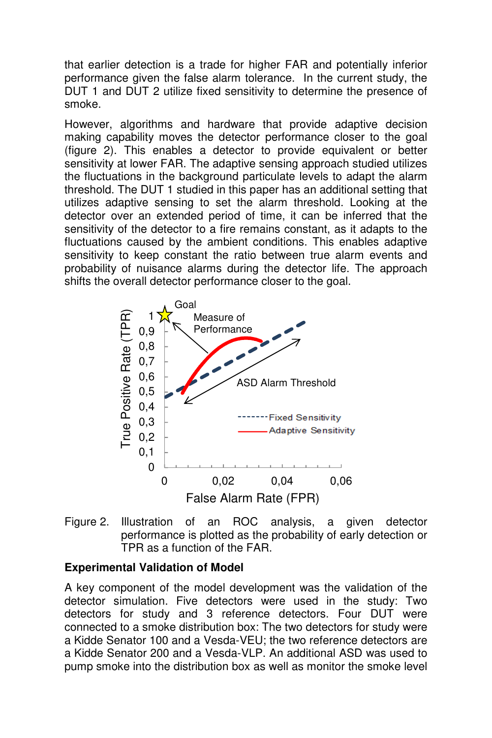that earlier detection is a trade for higher FAR and potentially inferior performance given the false alarm tolerance. In the current study, the DUT 1 and DUT 2 utilize fixed sensitivity to determine the presence of smoke.

However, algorithms and hardware that provide adaptive decision making capability moves the detector performance closer to the goal (figure 2). This enables a detector to provide equivalent or better sensitivity at lower FAR. The adaptive sensing approach studied utilizes the fluctuations in the background particulate levels to adapt the alarm threshold. The DUT 1 studied in this paper has an additional setting that utilizes adaptive sensing to set the alarm threshold. Looking at the detector over an extended period of time, it can be inferred that the sensitivity of the detector to a fire remains constant, as it adapts to the fluctuations caused by the ambient conditions. This enables adaptive sensitivity to keep constant the ratio between true alarm events and probability of nuisance alarms during the detector life. The approach shifts the overall detector performance closer to the goal.





#### **Experimental Validation of Model**

A key component of the model development was the validation of the detector simulation. Five detectors were used in the study: Two detectors for study and 3 reference detectors. Four DUT were connected to a smoke distribution box: The two detectors for study were a Kidde Senator 100 and a Vesda-VEU; the two reference detectors are a Kidde Senator 200 and a Vesda-VLP. An additional ASD was used to pump smoke into the distribution box as well as monitor the smoke level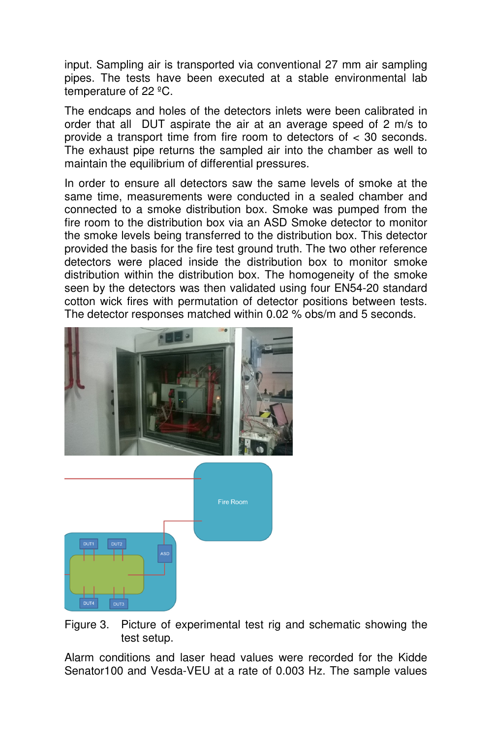input. Sampling air is transported via conventional 27 mm air sampling pipes. The tests have been executed at a stable environmental lab temperature of 22 ºC.

The endcaps and holes of the detectors inlets were been calibrated in order that all DUT aspirate the air at an average speed of 2 m/s to provide a transport time from fire room to detectors of < 30 seconds. The exhaust pipe returns the sampled air into the chamber as well to maintain the equilibrium of differential pressures.

In order to ensure all detectors saw the same levels of smoke at the same time, measurements were conducted in a sealed chamber and connected to a smoke distribution box. Smoke was pumped from the fire room to the distribution box via an ASD Smoke detector to monitor the smoke levels being transferred to the distribution box. This detector provided the basis for the fire test ground truth. The two other reference detectors were placed inside the distribution box to monitor smoke distribution within the distribution box. The homogeneity of the smoke seen by the detectors was then validated using four EN54-20 standard cotton wick fires with permutation of detector positions between tests. The detector responses matched within 0.02 % obs/m and 5 seconds.



Figure 3. Picture of experimental test rig and schematic showing the test setup.

Alarm conditions and laser head values were recorded for the Kidde Senator100 and Vesda-VEU at a rate of 0.003 Hz. The sample values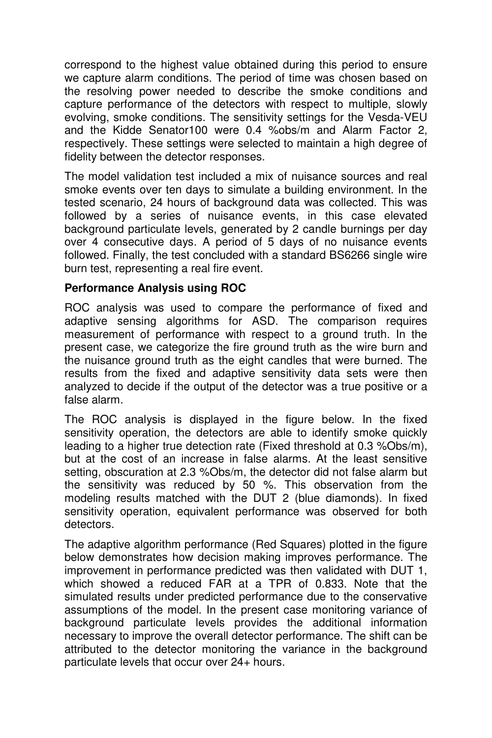correspond to the highest value obtained during this period to ensure we capture alarm conditions. The period of time was chosen based on the resolving power needed to describe the smoke conditions and capture performance of the detectors with respect to multiple, slowly evolving, smoke conditions. The sensitivity settings for the Vesda-VEU and the Kidde Senator100 were 0.4 %obs/m and Alarm Factor 2, respectively. These settings were selected to maintain a high degree of fidelity between the detector responses.

The model validation test included a mix of nuisance sources and real smoke events over ten days to simulate a building environment. In the tested scenario, 24 hours of background data was collected. This was followed by a series of nuisance events, in this case elevated background particulate levels, generated by 2 candle burnings per day over 4 consecutive days. A period of 5 days of no nuisance events followed. Finally, the test concluded with a standard BS6266 single wire burn test, representing a real fire event.

#### **Performance Analysis using ROC**

ROC analysis was used to compare the performance of fixed and adaptive sensing algorithms for ASD. The comparison requires measurement of performance with respect to a ground truth. In the present case, we categorize the fire ground truth as the wire burn and the nuisance ground truth as the eight candles that were burned. The results from the fixed and adaptive sensitivity data sets were then analyzed to decide if the output of the detector was a true positive or a false alarm.

The ROC analysis is displayed in the figure below. In the fixed sensitivity operation, the detectors are able to identify smoke quickly leading to a higher true detection rate (Fixed threshold at 0.3 %Obs/m), but at the cost of an increase in false alarms. At the least sensitive setting, obscuration at 2.3 %Obs/m, the detector did not false alarm but the sensitivity was reduced by 50 %. This observation from the modeling results matched with the DUT 2 (blue diamonds). In fixed sensitivity operation, equivalent performance was observed for both detectors.

The adaptive algorithm performance (Red Squares) plotted in the figure below demonstrates how decision making improves performance. The improvement in performance predicted was then validated with DUT 1, which showed a reduced FAR at a TPR of 0.833. Note that the simulated results under predicted performance due to the conservative assumptions of the model. In the present case monitoring variance of background particulate levels provides the additional information necessary to improve the overall detector performance. The shift can be attributed to the detector monitoring the variance in the background particulate levels that occur over 24+ hours.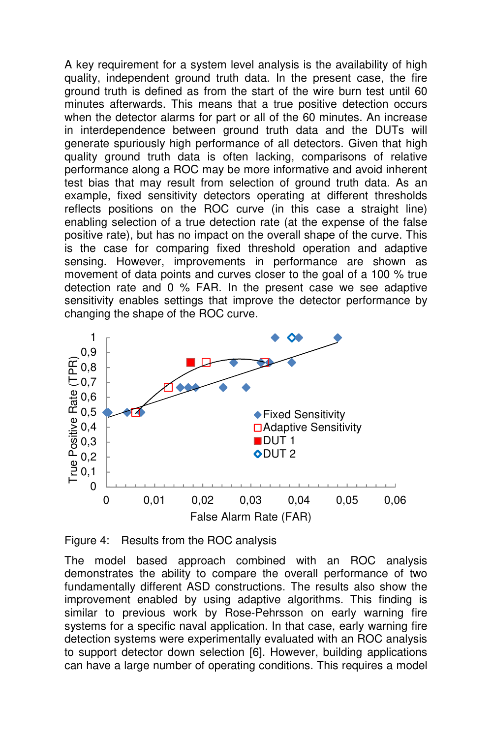A key requirement for a system level analysis is the availability of high quality, independent ground truth data. In the present case, the fire ground truth is defined as from the start of the wire burn test until 60 minutes afterwards. This means that a true positive detection occurs when the detector alarms for part or all of the 60 minutes. An increase in interdependence between ground truth data and the DUTs will generate spuriously high performance of all detectors. Given that high quality ground truth data is often lacking, comparisons of relative performance along a ROC may be more informative and avoid inherent test bias that may result from selection of ground truth data. As an example, fixed sensitivity detectors operating at different thresholds reflects positions on the ROC curve (in this case a straight line) enabling selection of a true detection rate (at the expense of the false positive rate), but has no impact on the overall shape of the curve. This is the case for comparing fixed threshold operation and adaptive sensing. However, improvements in performance are shown as movement of data points and curves closer to the goal of a 100 % true detection rate and 0 % FAR. In the present case we see adaptive sensitivity enables settings that improve the detector performance by changing the shape of the ROC curve.



Figure 4: Results from the ROC analysis

The model based approach combined with an ROC analysis demonstrates the ability to compare the overall performance of two fundamentally different ASD constructions. The results also show the improvement enabled by using adaptive algorithms. This finding is similar to previous work by Rose-Pehrsson on early warning fire systems for a specific naval application. In that case, early warning fire detection systems were experimentally evaluated with an ROC analysis to support detector down selection [6]. However, building applications can have a large number of operating conditions. This requires a model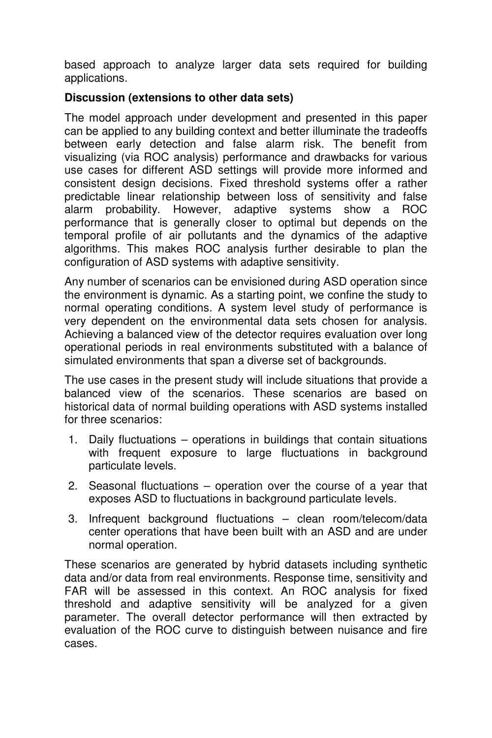based approach to analyze larger data sets required for building applications.

## **Discussion (extensions to other data sets)**

The model approach under development and presented in this paper can be applied to any building context and better illuminate the tradeoffs between early detection and false alarm risk. The benefit from visualizing (via ROC analysis) performance and drawbacks for various use cases for different ASD settings will provide more informed and consistent design decisions. Fixed threshold systems offer a rather predictable linear relationship between loss of sensitivity and false alarm probability. However, adaptive systems show a ROC performance that is generally closer to optimal but depends on the temporal profile of air pollutants and the dynamics of the adaptive algorithms. This makes ROC analysis further desirable to plan the configuration of ASD systems with adaptive sensitivity.

Any number of scenarios can be envisioned during ASD operation since the environment is dynamic. As a starting point, we confine the study to normal operating conditions. A system level study of performance is very dependent on the environmental data sets chosen for analysis. Achieving a balanced view of the detector requires evaluation over long operational periods in real environments substituted with a balance of simulated environments that span a diverse set of backgrounds.

The use cases in the present study will include situations that provide a balanced view of the scenarios. These scenarios are based on historical data of normal building operations with ASD systems installed for three scenarios:

- 1. Daily fluctuations operations in buildings that contain situations with frequent exposure to large fluctuations in background particulate levels.
- 2. Seasonal fluctuations operation over the course of a year that exposes ASD to fluctuations in background particulate levels.
- 3. Infrequent background fluctuations clean room/telecom/data center operations that have been built with an ASD and are under normal operation.

These scenarios are generated by hybrid datasets including synthetic data and/or data from real environments. Response time, sensitivity and FAR will be assessed in this context. An ROC analysis for fixed threshold and adaptive sensitivity will be analyzed for a given parameter. The overall detector performance will then extracted by evaluation of the ROC curve to distinguish between nuisance and fire cases.